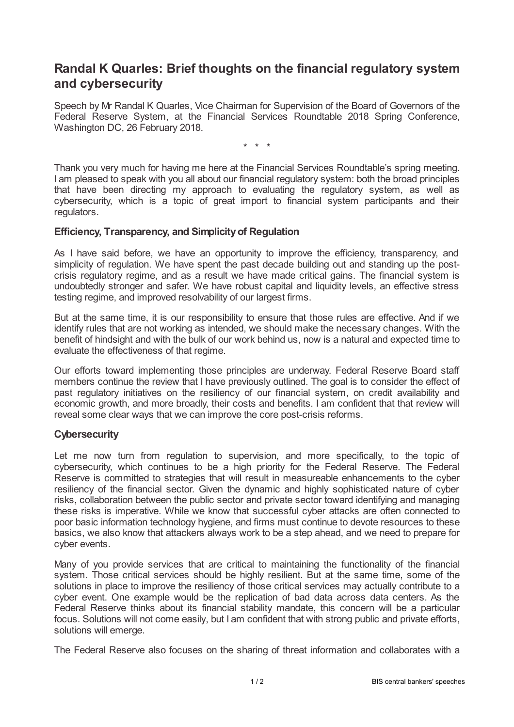## **Randal K Quarles: Brief thoughts on the financial regulatory system and cybersecurity**

Speech by Mr Randal K Quarles, Vice Chairman for Supervision of the Board of Governors of the Federal Reserve System, at the Financial Services Roundtable 2018 Spring Conference, Washington DC, 26 February 2018.

\* \* \*

Thank you very much for having me here at the Financial Services Roundtable's spring meeting. I am pleased to speak with you all about our financial regulatory system: both the broad principles that have been directing my approach to evaluating the regulatory system, as well as cybersecurity, which is a topic of great import to financial system participants and their regulators.

## **Efficiency, Transparency, and Simplicityof Regulation**

As I have said before, we have an opportunity to improve the efficiency, transparency, and simplicity of regulation. We have spent the past decade building out and standing up the postcrisis regulatory regime, and as a result we have made critical gains. The financial system is undoubtedly stronger and safer. We have robust capital and liquidity levels, an effective stress testing regime, and improved resolvability of our largest firms.

But at the same time, it is our responsibility to ensure that those rules are effective. And if we identify rules that are not working as intended, we should make the necessary changes. With the benefit of hindsight and with the bulk of our work behind us, now is a natural and expected time to evaluate the effectiveness of that regime.

Our efforts toward implementing those principles are underway. Federal Reserve Board staff members continue the review that I have previously outlined. The goal is to consider the effect of past regulatory initiatives on the resiliency of our financial system, on credit availability and economic growth, and more broadly, their costs and benefits. I am confident that that review will reveal some clear ways that we can improve the core post-crisis reforms.

## **Cybersecurity**

Let me now turn from regulation to supervision, and more specifically, to the topic of cybersecurity, which continues to be a high priority for the Federal Reserve. The Federal Reserve is committed to strategies that will result in measureable enhancements to the cyber resiliency of the financial sector. Given the dynamic and highly sophisticated nature of cyber risks, collaboration between the public sector and private sector toward identifying and managing these risks is imperative. While we know that successful cyber attacks are often connected to poor basic information technology hygiene, and firms must continue to devote resources to these basics, we also know that attackers always work to be a step ahead, and we need to prepare for cyber events.

Many of you provide services that are critical to maintaining the functionality of the financial system. Those critical services should be highly resilient. But at the same time, some of the solutions in place to improve the resiliency of those critical services may actually contribute to a cyber event. One example would be the replication of bad data across data centers. As the Federal Reserve thinks about its financial stability mandate, this concern will be a particular focus. Solutions will not come easily, but I am confident that with strong public and private efforts, solutions will emerge.

The Federal Reserve also focuses on the sharing of threat information and collaborates with a